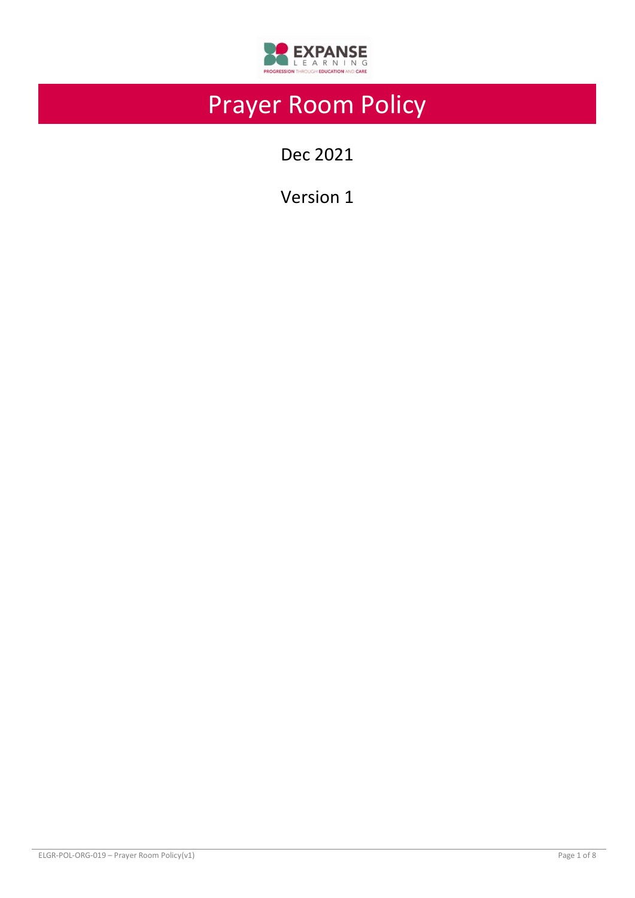

# Prayer Room Policy

Dec 2021

Version 1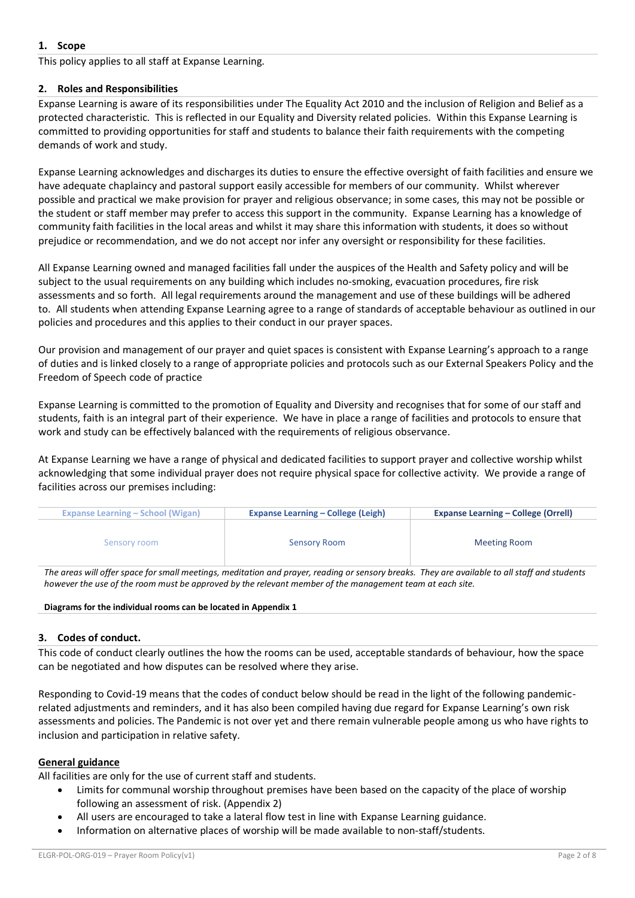# **1. Scope**

This policy applies to all staff at Expanse Learning.

#### **2. Roles and Responsibilities**

Expanse Learning is aware of its responsibilities under The Equality Act 2010 and the inclusion of Religion and Belief as a protected characteristic. This is reflected in our Equality and Diversity related policies. Within this Expanse Learning is committed to providing opportunities for staff and students to balance their faith requirements with the competing demands of work and study.

Expanse Learning acknowledges and discharges its duties to ensure the effective oversight of faith facilities and ensure we have adequate chaplaincy and pastoral support easily accessible for members of our community. Whilst wherever possible and practical we make provision for prayer and religious observance; in some cases, this may not be possible or the student or staff member may prefer to access this support in the community. Expanse Learning has a knowledge of community faith facilities in the local areas and whilst it may share this information with students, it does so without prejudice or recommendation, and we do not accept nor infer any oversight or responsibility for these facilities.

All Expanse Learning owned and managed facilities fall under the auspices of the Health and Safety policy and will be subject to the usual requirements on any building which includes no-smoking, evacuation procedures, fire risk assessments and so forth. All legal requirements around the management and use of these buildings will be adhered to. All students when attending Expanse Learning agree to a range of standards of acceptable behaviour as outlined in our policies and procedures and this applies to their conduct in our prayer spaces.

Our provision and management of our prayer and quiet spaces is consistent with Expanse Learning's approach to a range of duties and is linked closely to a range of appropriate policies and protocols such as our External Speakers Policy and the Freedom of Speech code of practice

Expanse Learning is committed to the promotion of Equality and Diversity and recognises that for some of our staff and students, faith is an integral part of their experience. We have in place a range of facilities and protocols to ensure that work and study can be effectively balanced with the requirements of religious observance.

At Expanse Learning we have a range of physical and dedicated facilities to support prayer and collective worship whilst acknowledging that some individual prayer does not require physical space for collective activity. We provide a range of facilities across our premises including:

| <b>Expanse Learning – School (Wigan)</b> | <b>Expanse Learning – College (Leigh)</b> | <b>Expanse Learning – College (Orrell)</b> |  |
|------------------------------------------|-------------------------------------------|--------------------------------------------|--|
| Sensory room                             | <b>Sensory Room</b>                       | <b>Meeting Room</b>                        |  |

The areas will offer space for small meetings, meditation and prayer, reading or sensory breaks. They are available to all staff and students however the use of the room must be approved by the relevant member of the management team at each site.

#### **Diagrams for the individual rooms can be located in Appendix 1**

#### **3. Codes of conduct.**

This code of conduct clearly outlines the how the rooms can be used, acceptable standards of behaviour, how the space can be negotiated and how disputes can be resolved where they arise.

Responding to Covid-19 means that the codes of conduct below should be read in the light of the following pandemicrelated adjustments and reminders, and it has also been compiled having due regard for Expanse Learning's own risk assessments and policies. The Pandemic is not over yet and there remain vulnerable people among us who have rights to inclusion and participation in relative safety.

#### **General guidance**

All facilities are only for the use of current staff and students.

- Limits for communal worship throughout premises have been based on the capacity of the place of worship following an assessment of risk. (Appendix 2)
- All users are encouraged to take a lateral flow test in line with Expanse Learning guidance.
- Information on alternative places of worship will be made available to non-staff/students.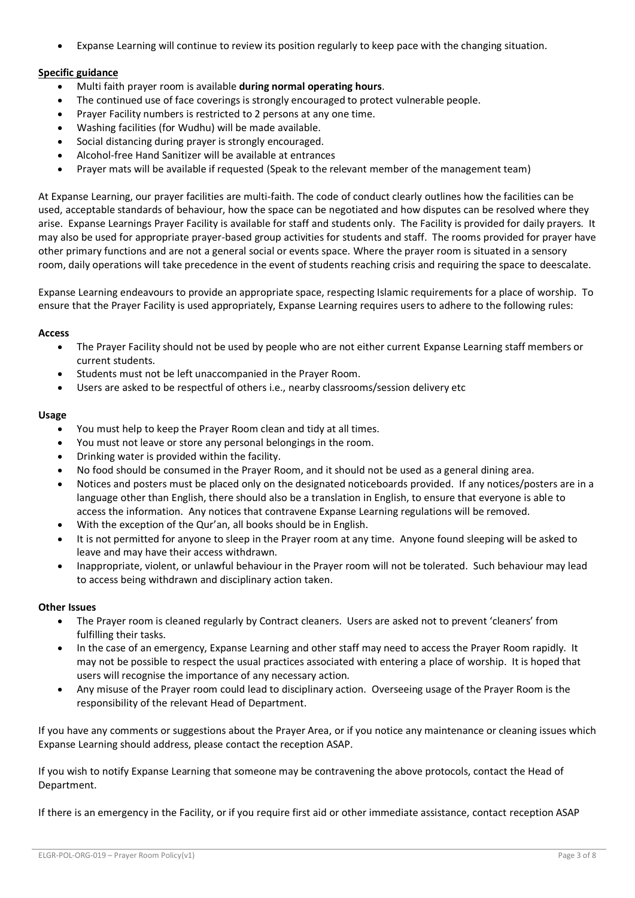• Expanse Learning will continue to review its position regularly to keep pace with the changing situation.

# **Specific guidance**

- Multi faith prayer room is available **during normal operating hours**.
- The continued use of face coverings is strongly encouraged to protect vulnerable people.
- Prayer Facility numbers is restricted to 2 persons at any one time.
- Washing facilities (for Wudhu) will be made available.
- Social distancing during prayer is strongly encouraged.
- Alcohol-free Hand Sanitizer will be available at entrances
- Prayer mats will be available if requested (Speak to the relevant member of the management team)

At Expanse Learning, our prayer facilities are multi-faith. The code of conduct clearly outlines how the facilities can be used, acceptable standards of behaviour, how the space can be negotiated and how disputes can be resolved where they arise. Expanse Learnings Prayer Facility is available for staff and students only. The Facility is provided for daily prayers. It may also be used for appropriate prayer-based group activities for students and staff. The rooms provided for prayer have other primary functions and are not a general social or events space. Where the prayer room is situated in a sensory room, daily operations will take precedence in the event of students reaching crisis and requiring the space to deescalate.

Expanse Learning endeavours to provide an appropriate space, respecting Islamic requirements for a place of worship. To ensure that the Prayer Facility is used appropriately, Expanse Learning requires users to adhere to the following rules:

#### **Access**

- The Prayer Facility should not be used by people who are not either current Expanse Learning staff members or current students.
- Students must not be left unaccompanied in the Prayer Room.
- Users are asked to be respectful of others i.e., nearby classrooms/session delivery etc

#### **Usage**

- You must help to keep the Prayer Room clean and tidy at all times.
- You must not leave or store any personal belongings in the room.
- Drinking water is provided within the facility.
- No food should be consumed in the Prayer Room, and it should not be used as a general dining area.
- Notices and posters must be placed only on the designated noticeboards provided. If any notices/posters are in a language other than English, there should also be a translation in English, to ensure that everyone is able to access the information. Any notices that contravene Expanse Learning regulations will be removed.
- With the exception of the Qur'an, all books should be in English.
- It is not permitted for anyone to sleep in the Prayer room at any time. Anyone found sleeping will be asked to leave and may have their access withdrawn.
- Inappropriate, violent, or unlawful behaviour in the Prayer room will not be tolerated. Such behaviour may lead to access being withdrawn and disciplinary action taken.

#### **Other Issues**

- The Prayer room is cleaned regularly by Contract cleaners. Users are asked not to prevent 'cleaners' from fulfilling their tasks.
- In the case of an emergency, Expanse Learning and other staff may need to access the Prayer Room rapidly. It may not be possible to respect the usual practices associated with entering a place of worship. It is hoped that users will recognise the importance of any necessary action.
- Any misuse of the Prayer room could lead to disciplinary action. Overseeing usage of the Prayer Room is the responsibility of the relevant Head of Department.

If you have any comments or suggestions about the Prayer Area, or if you notice any maintenance or cleaning issues which Expanse Learning should address, please contact the reception ASAP.

If you wish to notify Expanse Learning that someone may be contravening the above protocols, contact the Head of Department.

If there is an emergency in the Facility, or if you require first aid or other immediate assistance, contact reception ASAP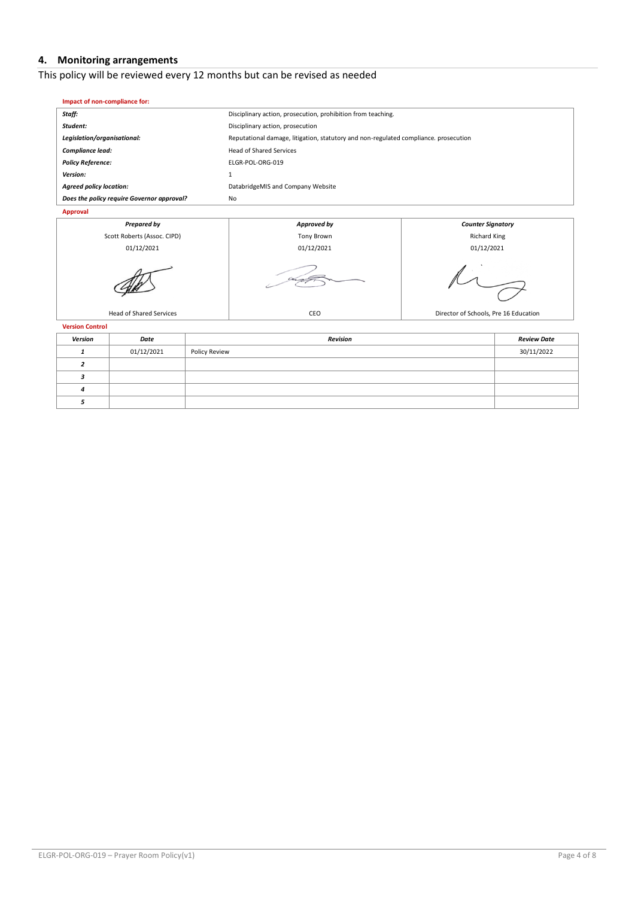# **4. Monitoring arrangements**

 $\mathcal{C}_{1}$ 

# This policy will be reviewed every 12 months but can be revised as needed

| Impact of non-compliance for:              |                                                                                      |                          |  |
|--------------------------------------------|--------------------------------------------------------------------------------------|--------------------------|--|
| Staff:                                     | Disciplinary action, prosecution, prohibition from teaching.                         |                          |  |
| Student:                                   | Disciplinary action, prosecution                                                     |                          |  |
| Legislation/organisational:                | Reputational damage, litigation, statutory and non-regulated compliance. prosecution |                          |  |
| Compliance lead:                           | <b>Head of Shared Services</b>                                                       |                          |  |
| <b>Policy Reference:</b>                   | ELGR-POL-ORG-019                                                                     |                          |  |
| Version:                                   |                                                                                      |                          |  |
| <b>Agreed policy location:</b>             | DatabridgeMIS and Company Website                                                    |                          |  |
| Does the policy require Governor approval? | No                                                                                   |                          |  |
| Approval                                   |                                                                                      |                          |  |
| <b>Prepared by</b>                         | Approved by                                                                          | <b>Counter Signatory</b> |  |
| Scott Roberts (Assoc. CIPD)                | <b>Tony Brown</b>                                                                    | <b>Richard King</b>      |  |

01/12/2021 01/12/2021 01/12/2021

T ╮

| <b>Version Control</b> |               |                    |  |  |
|------------------------|---------------|--------------------|--|--|
| Date                   | Revision      | <b>Review Date</b> |  |  |
| 01/12/2021             | Policy Review | 30/11/2022         |  |  |
|                        |               |                    |  |  |
|                        |               |                    |  |  |
|                        |               |                    |  |  |
|                        |               |                    |  |  |
|                        |               |                    |  |  |

Head of Shared Services CEO Director of Schools, Pre 16 Education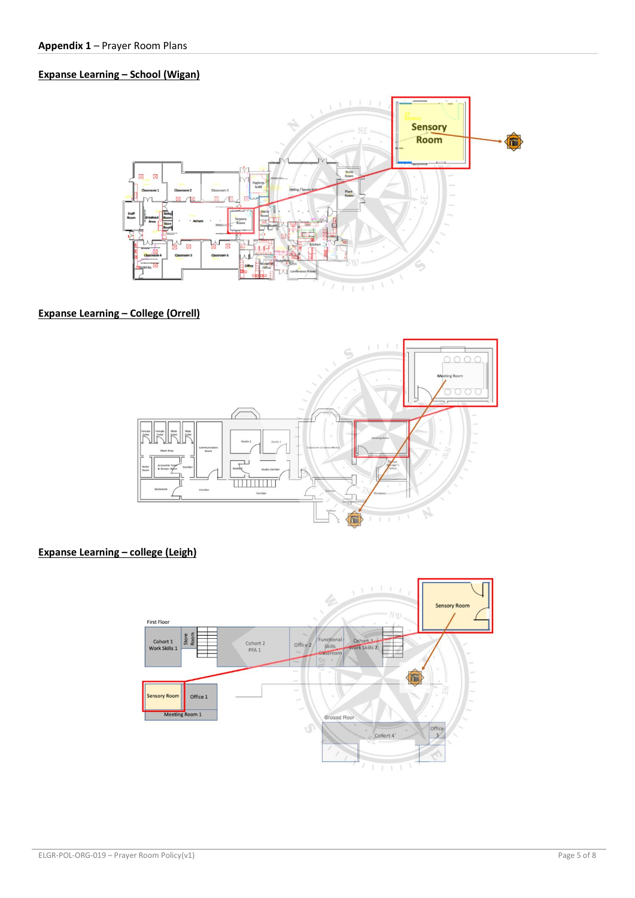# **Expanse Learning – School (Wigan)**



# **Expanse Learning – College (Orrell)**



# **Expanse Learning – college (Leigh)**

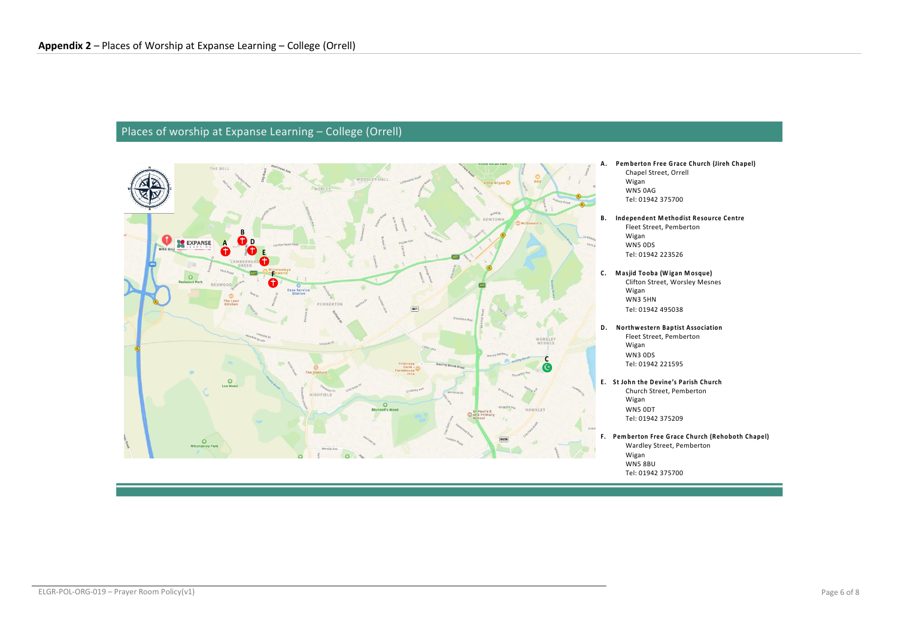# Places of worship at Expanse Learning – College (Orrell)

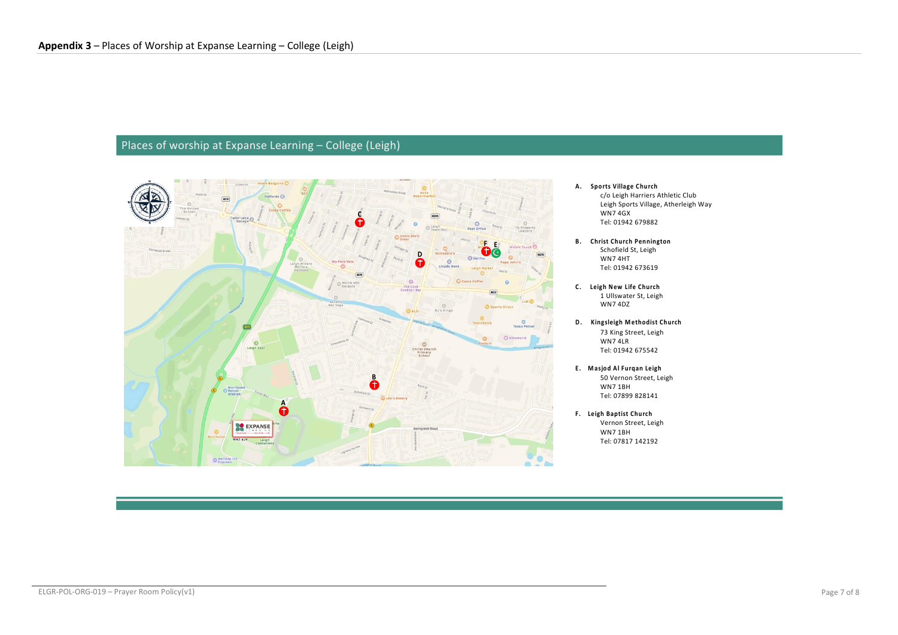## Places of worship at Expanse Learning – College (Leigh)



- **A. Sports Village Church** c/o Leigh Harriers Athletic Club Leigh Sports Village, Atherleigh Way WN7 4GX Tel: 01942 679882
- **B. Christ Church Pennington** Schofield St, Leigh WN7 4HT Tel: 01942 673619
- **C. Leigh New Life Church** 1 Ullswater St, Leigh WN7 4DZ
- **D. Kingsleigh M ethodist Church** 73 King Street, Leigh WN7 4LR Tel: 01942 675542
- **E. M asjod Al Furqan Leigh** 50 Vernon Street, Leigh WN7 1BH Tel: 07899 828141
- **F. Leigh Baptist Church** Vernon Street, Leigh WN7 1BH Tel: 07817 142192